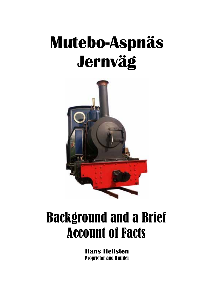# **Mutebo-Aspnäs Jernväg**



# Background and a Brief Account of Facts

**Hans Hellsten**  Proprietor and Builder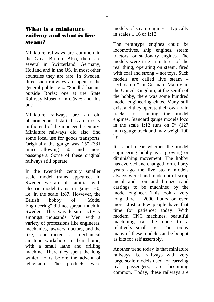Miniature railways are common in the Great Britain. Also, there are several in Switzerland, Germany, Holland and in the US. In most other countries they are rare. In Sweden, three such railways are open to the general public, viz. "Sandlidsbanan" outside Borås; one at the State Railway Museum in Gävle; and this one.

Miniature railways are an old phenomenon. It started as a curiosity in the end of the nineteenth century. Miniature railways did also find some local use for goods transports. Originally the gauge was 15" (381 mm) allowing 50 and more passengers. Some of these original railways still operate.

In the twentieth century smaller scale model trains appeared. In Sweden we are all familiar with electric model trains in gauge H0, i.e. in the scale 1:87. However, the British hobby of "Model Engineering" did not spread much in Sweden. This was leisure activity amongst thousands. Men, with a variety of professions like engineers, mechanics, lawyers, doctors, and the like, constructed a mechanical amateur workshop in their home, with a small lathe and drilling machine. There they spent the long winter hours before the advent of television. The products were

models of steam engines – typically in scales 1:16 or 1:12.

The prototype engines could be locomotives, ship engines, steam tractors, or stationary engines. The models were true miniatures of the real thing, operating on steam, fired with coal and strong – not toys. Such models are called live steam – "echtdampf" in German. Mainly in the United Kingdom, at the zenith of the hobby, there was some hundred model engineering clubs. Many still exist and they operate their own train tracks for running the model engines. Standard gauge models loco in the scale  $1:12$  runs on 5"  $(127)$ mm) gauge track and may weigh 100 kg.

It is not clear whether the model engineering hobby is a growing or diminishing movement. The hobby has evolved and changed form. Forty years ago the live steam models always were hand-made out of scrap metal and iron and bronze sand castings to be machined by the model engineer. This took a very long time – 2000 hours or even more. Just a few people have that time (or patience) today. With modern CNC machines, beautiful machining can be done to a relatively small cost. Thus today many of these models can be bought as kits for self assembly.

Another trend today is that miniature railways, i.e. railways with very large scale models used for carrying real passengers, are becoming common. Today, these railways are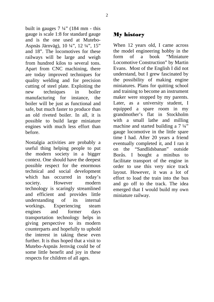built in gauges  $7\frac{1}{4}$ " (184 mm - this gauge is scale 1:8 for standard gauge and is the one used at Mutebo-Aspnäs Järnväg), 10 ¼", 12 ¼", 15" and 18". The locomotives for these railways will be large and weigh from hundred kilos to several tons. Apart from CNC machining, there are today improved techniques for quality welding and for precision cutting of steel plate. Exploiting the new techniques in boiler manufacturing for instance, the boiler will be just as functional and safe, but much faster to produce than an old riveted boiler. In all, it is possible to build large miniature engines with much less effort than before.

Nostalgia activities are probably a useful thing helping people to put the modern society in a bigger context. One should have the deepest possible respect for the enormous technical and social development which has occurred in today's society. However modern technology is scaringly streamlined and efficient and provides little understanding of its internal workings. Experiencing steam engines and former days transportation technology helps in giving perspective to its modern counterparts and hopefully to uphold the interest in taking these even further. It is thus hoped that a visit to Mutebo-Aspnäs Jernväg could be of some little benefit and joy in these respects for children of all ages.

# My history

When 12 years old, I came across the model engineering hobby in the form of a book "Miniature Locomotive Construction" by Martin Evans. Most of the English I did not understand, but I grew fascinated by the possibility of making engine miniatures. Plans for quitting school and training to become an instrument maker were stopped by my parents. Later, as a university student, I equipped a spare room in my grandmother's flat in Stockholm with a small lathe and milling machine and started building a  $7\frac{1}{4}$ " gauge locomotive in the little spare time I had. After 20 years a friend eventually completed it, and I ran it on the "Sandlidsbanan" outside Borås. I bought a minibus to facilitate transport of the engine in order to use this very nice track layout. However, it was a lot of effort to load the train into the bus and go off to the track. The idea emerged that I would build my own miniature railway.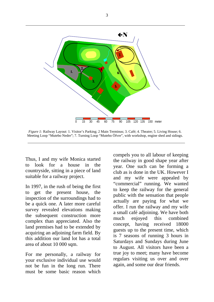

*Figure 1:* Railway Layout: 1. Visitor's Parking; 2 Main Terminus; 3. Café; 4. Theatre; 5. Living House; 6. Meeting Loop "Mutebo Nedre"; 7. Turning Loop "Mutebo Öfvre", with workshop, engine shed and sidings.

Thus, I and my wife Monica started to look for a house in the countryside, sitting in a piece of land suitable for a railway project.

In 1997, in the rush of being the first to get the present house, the inspection of the surroundings had to be a quick one. A later more careful survey revealed elevations making the subsequent construction more complex than appreciated. Also the land premises had to be extended by acquiring an adjoining farm field. By this addition our land lot has a total area of about 10 000 sqm.

For me personally, a railway for your exclusive individual use would not be fun in the long run. There must be some basic reason which

compels you to all labour of keeping the railway in good shape year after year. One such can be forming a club as is done in the UK. However I and my wife were appealed by "commercial" running. We wanted to keep the railway for the general public with the sensation that people actually are paying for what we offer. I run the railway and my wife a small café adjoining. We have both much enjoyed this combined concept, having received 18000 guests up to the present time, which is 7 seasons of running 3 hours in Saturdays and Sundays during June to August. All visitors have been a true joy to meet; many have become regulars visiting us over and over again, and some our dear friends.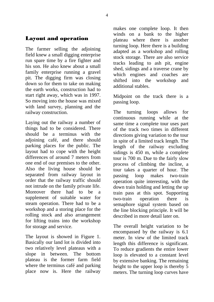# Layout and operation

The farmer selling the adjoining field knew a small digging enterprise run spare time by a fire fighter and his son. He also knew about a small family enterprise running a gravel pit. The digging firm was closing down so for them to take on making the earth works, construction had to start right away, which was in 1997. So moving into the house was mixed with land survey, planning and the railway construction.

Laying out the railway a number of things had to be considered. There should be a terminus with the adjoining café, and there should parking places for the public. The layout had to cope with the height differences of around 7 meters from one end of our premises to the other. Also the living house should be separated from railway layout in order that the railway traffic should not intrude on the family private life. Moreover there had to be a supplement of suitable water for steam operation. There had to be a workshop and a storing place for the rolling stock and also arrangement for lifting trains into the workshop for storage and service.

The layout is showed in Figure 1. Basically our land lot is divided into two relatively level plateaus with a slope in between. The bottom plateau is the former farm field where the terminus café and parking place now is. Here the railway makes one complete loop. It then winds on a bank to the higher plateau where there is another turning loop. Here there is a building adapted as a workshop and rolling stock storage. There are also service tracks leading to ash pit, engine shed, sidings and a traverse crane by which engines and coaches are shifted into the workshop and additional stables.

Midpoint on the track there is a passing loop.

The turning loops allows for continuous running while at the same time a complete tour uses part of the track two times in different directions giving variation to the tour in spite of a limited track length. The length of the railway excluding sidings is 450 m, while a complete tour is 700 m. Due to the fairly slow process of climbing the incline, a tour takes a quarter of hour. The passing loop makes two-train operation quite interesting, with the down train holding and letting the up train pass at this spot. Supporting two-train operation there is semaphore signal system based on the line blocking principle. It will be described in more detail later on.

The overall height variation to be encompassed by the railway is 6.1 meter. In view of the limited track length this difference is significant. To reduce gradients the entire lower loop is elevated to a constant level by extensive banking. The remaining height to the upper loop is thereby 5 meters. The turning loop curves have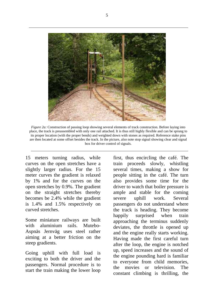

*Figure 2a:* Construction of passing loop showing several elements of track construction. Before laying into place, the track is preassembled with only one rail attached. It is thus still highly flexible and can be sprung to its proper location (with the proper bends) and weighted down with stones as required. Reference stake pins are then located at some offset besides the track. In the picture, also note stop signal showing clear and signal box for driver control of signals.

15 meters turning radius, while curves on the open stretches have a slightly larger radius. For the 15 meter curves the gradient is relaxed by 1% and for the curves on the open stretches by 0.9%. The gradient on the straight stretches thereby becomes be 2.4% while the gradient is 1.4% and 1.5% respectively on curved stretches.

Some miniature railways are built with aluminium rails. Mutebo-Aspnäs Jernväg uses steel rather aiming at a better friction on the steep gradients.

Going uphill with full load is exciting to both the driver and the passengers. Normal procedure is to start the train making the lower loop

first, thus encircling the café. The train proceeds slowly, whistling several times, making a show for people sitting in the café. The turn also provides some time for the driver to watch that boiler pressure is ample and stable for the coming severe uphill work. Several passengers do not understand where the track is heading. They become happily surprised when train approaching the terminus suddenly deviates, the throttle is opened up and the engine really starts working. Having made the first careful turn after the loop, the engine is notched up, speed increases and the sound of the engine pounding hard is familiar to everyone from child memories, the movies or television. The constant climbing is thrilling, the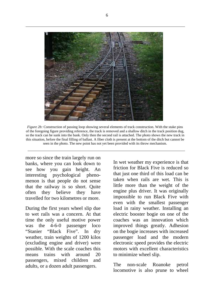

*Figure 2b:* Construction of passing loop showing several elements of track construction. With the stake pins of the foregoing figure providing reference, the track is removed and a shallow ditch in the track position dug, so the track can be sunk into the bank. Only then the second rail is attached. The photo shows the new track in this situation, before the final filling of ballast. A fiber cloth is present at the bottom of the ditch but cannot be seen in the photo. The new point has not yet been provided with its throw mechanism.

more so since the train largely run on banks, where you can look down to see how you gain height. An interesting psychological phenomenon is that people do not sense that the railway is so short. Quite often they believe they have travelled for two kilometres or more.

During the first years wheel slip due to wet rails was a concern. At that time the only useful motive power was the 4-6-0 passenger loco "Stanier "Black Five". In dry weather, train weights of 1200 kilos (excluding engine and driver) were possible. With the scale coaches this means trains with around 20 passengers, mixed children and adults, or a dozen adult passengers.

In wet weather my experience is that friction for Black Five is reduced so that just one third of this load can be taken when rails are wet. This is little more than the weight of the engine plus driver. It was originally impossible to run Black Five with even with the smallest passenger load in rainy weather. Installing an electric booster bogie on one of the coaches was an innovation which improved things greatly. Adhesion on the bogie increases with increased passenger load and the modern electronic speed provides the electric motors with excellent characteristics to minimize wheel slip.

The non-scale Roanoke petrol locomotive is also prune to wheel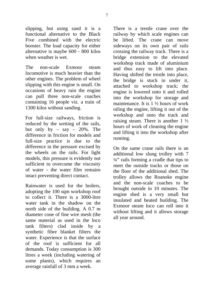slipping, but using sand it is a functional alternative to the Black Five combined with the electric booster. The load capacity for either alternative is maybe 600 - 800 kilos when weather is wet.

The non-scale Exmoor steam locomotive is much heavier than the other engines. The problem of wheel slipping with this engine is small. On occasions of heavy rain the engine can pull three non-scale coaches containing 16 people viz. a train of 1300 kilos without sanding.

For full-size railways, friction is reduced by the wetting of the rails, but only by – say –  $20\%$ . The difference in friction for models and full-size practice is due to the difference in the pressure excised by the wheels on the rails. For light models, this pressure is evidently not sufficient to overcome the viscosity of water - the water film remains intact preventing direct contact.

Rainwater is used for the boilers, adopting the 100 sqm workshop roof to collect it. There is a 3000-litre water tank in the shadow on the north side of the building. A 0.7 m diameter cone of fine wire mesh (the same material as used in the loco tank filters) clad inside by a synthetic fibre blanket filters the water. Experience is that the surface of the roof is sufficient for all demands. Today consumption is 300 litres a week (including watering of some plants), which requires an average rainfall of 3 mm a week.

There is a trestle crane over the railway by which scale engines can be lifted. The crane can move sideways on its own pair of rails crossing the railway track. There is a bridge extension to the elevated workshop track made of aluminium and thus easy to lift into place. Having shifted the trestle into place, the bridge is stuck in under it, attached to workshop track; the engine is lowered onto it and rolled into the workshop for storage and maintenance. It is 1 ½ hours of work oiling the engine, lifting it out of the workshop and onto the track and raising steam. There is another  $1\frac{1}{2}$ hours of work of cleaning the engine and lifting it into the workshop after running.

On the same crane rails there is an additional low slung trolley with 7  $\frac{1}{4}$ " rails forming a cradle that tips to meet the outside tracks or those on the floor of the additional shed. The trolley allows the Roanoke engine and the non-scale coaches to be brought outside in 10 minutes. The engine shed is a very small but insulated and heated building. The Exmoor steam loco can roll into it without lifting and it allows storage all year around.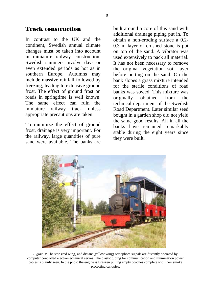#### Track construction

In contrast to the UK and the continent, Swedish annual climate changes must be taken into account in miniature railway construction. Swedish summers involve days or even extended periods as hot as in southern Europe. Autumns may include massive rainfall followed by freezing, leading to extensive ground frost. The effect of ground frost on roads in springtime is well known. The same effect can ruin the miniature railway track unless appropriate precautions are taken.

To minimize the effect of ground frost, drainage is very important. For the railway, large quantities of pure sand were available. The banks are

built around a core of this sand with additional drainage piping put in. To obtain a non-eroding surface a 0.2- 0.3 m layer of crushed stone is put on top of the sand. A vibrator was used extensively to pack all material. It has not been necessary to remove the original vegetation soil layer before putting on the sand. On the bank slopes a grass mixture intended for the sterile conditions of road banks was sowed. This mixture was originally obtained from the technical department of the Swedish Road Department. Later similar seed bought in a garden shop did not yield the same good results. All in all the banks have remained remarkably stable during the eight years since they were built.



*Figure 3:* The stop (red wing) and distant (yellow wing) semaphore signals are distantly operated by computer controlled electromechanical servos. The plastic tubing for communication and illumination power cables is plainly seen. In the photo the engine is Brasken pulling empty coaches complete with their smoke protecting canopies.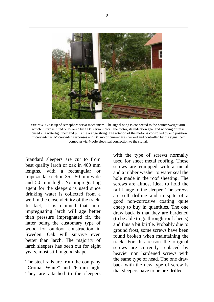

*Figure 4:* Close up of semaphore servo mechanism. The signal wing is connected to the counterweight arm, which in turn is lifted or lowered by a DC servo motor. The motor, its reduction gear and winding drum is housed in a watertight box and pulls the orange string. The rotation of the motor is controlled by end position microswitches. Microswitch responses and DC motor current are checked and controlled by the signal box computer via 4-pole electrical connection to the signal.

Standard sleepers are cut to from best quality larch or oak in 400 mm lengths, with a rectangular or trapezoidal section 35 - 50 mm wide and 50 mm high. No impregnating agent for the sleepers is used since drinking water is collected from a well in the close vicinity of the track. In fact, it is claimed that nonimpregnating larch will age better than pressure impregnated fir, the latter being the customary type of wood for outdoor construction in Sweden. Oak will survive even better than larch. The majority of larch sleepers has been out for eight years, most still in good shape.

The steel rails are from the company "Cromar White" and 26 mm high. They are attached to the sleepers

with the type of screws normally used for sheet metal roofing. These screws are equipped with a metal and a rubber washer to water seal the hole made in the roof sheeting. The screws are almost ideal to hold the rail flange to the sleeper. The screws are self drilling and in spite of a good non-corrosive coating quite cheap to buy in quantities. The one draw back is that they are hardened (to be able to go through roof sheets) and thus a bit brittle. Probably due to ground frost, some screws have been found broken when maintaining the track. For this reason the original screws are currently replaced by heavier non hardened screws with the same type of head. The one draw back with the new type of screw is that sleepers have to be pre-drilled.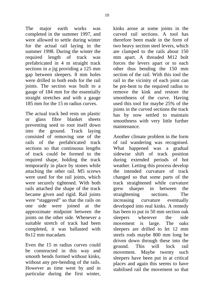The major earth works was completed in the summer 1997, and were allowed to settle during winter for the actual rail laying in the summer 1998. During the winter the required length of track was prefabricated in 4 m straight track sections in a jig providing a 125 mm gap between sleepers. 8 mm holes were drilled in both ends for the rail joints. The section was built to a gauge of 184 mm for the essentially straight stretches and with a gauge 185 mm for the 15 m radius curves.

The actual track bed rests on plastic or glass fibre blanket sheets preventing seed to root itself down into the ground. Track laying consisted of removing one of the rails of the prefabricated track sections so that continuous lengths of track could be formed to the required shape, holding the track temporarily in place by stones while attaching the other rail. M5 screws were used for the rail joints, which were securely tightened. With both rails attached the shape of the track became given and rigid. Rail joints were "staggered" so that the rails on one side were joined at the approximate midpoint between the joints on the other side. Whenever a suitable stretch of track had been completed, it was ballasted with 8x12 mm macadam.

Even the 15 m radius curves could be constructed in this way and smooth bends formed without kinks, without any pre-bending of the rails. However as time went by and in particular during the first winter,

kinks arose at some joints in the curved rail sections. A tool has therefore been made in the form of two heavy section steel levers, which are clamped to the rails about 150 mm apart. A threaded M12 bolt forces the levers apart or to each other thus bending the 150 mm section of the rail. With this tool the rail in the vicinity of each joint can be pre-bent to the required radius to remove the kink and restore the smoothness of the curve. Having used this tool for maybe 25% of the joints in the curved sections the track has by now settled to maintain smoothness with very little further maintenance.

Another climate problem in the form of rail wandering was recognised. What happened was a gradual sidewise shift of track position during extended periods of hot weather. Letting this process develop the intended curvature of track changed so that some parts of the track straightened while curvature grew sharper in between the straightening sections. The increasing curvature eventually developed into real kinks. A remedy has been to put in 50 mm section oak sleepers wherever the side movement is large. The oaks sleepers are drilled to let 12 mm steels rods maybe 800 mm long be driven down through these into the ground. This will lock rail movement. Maybe twenty such sleepers have been put in at critical places and again this seems to have stabilised rail the movement so that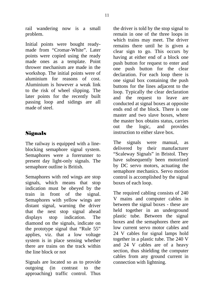rail wandering now is a small problem.

Initial points were bought readymade from "Cromar-White". Later points were copied using the ready made ones as a template. Point thrower mechanism are made in the workshop. The initial points were of aluminium for reasons of cost. Aluminium is however a weak link to the risk of wheel slipping. The later points for the recently built passing loop and sidings are all made of steel.

# Signals

The railway is equipped with a lineblocking semaphore signal system. Semaphores were a forerunner to present day light-only signals. The semaphore outline is British.

Semaphores with red wings are stop signals, which means that stop indication must be obeyed by the train in front of the signal. Semaphores with yellow wings are distant signal, warning the driver that the nest stop signal ahead displays stop indication. The diamond on the signals, indicate on the prototype signal that "Rule 55" applies, viz. that a low voltage system is in place sensing whether there are trains on the track within the line block or not

Signals are located so as to provide outgoing (in contrast to the approaching) traffic control. Thus

the driver is told by the stop signal to remain in one of the three loops in which trains may meet. The driver remains there until he is given a clear sign to go. This occurs by having at either end of a block one push button for request to enter and one push button for the clear declaration. For each loop there is one signal box containing the push buttons for the lines adjacent to the loop. Typically the clear declaration and the request to leave are conducted at signal boxes at opposite ends end of the block. There is one master and two slave boxes, where the master box obtains status, carries out the logic, and provides instruction to either slave box.

The signals were manual, as delivered by their manufacturer "Scaleway Signals" in Bristol. They have subsequently been motorized by DC servo motors, actuating the semaphore mechanics. Servo motion control is accomplished by the signal boxes of each loop.

The required cabling consists of 240 V mains and computer cables in between the signal boxes - these are held together in an underground plastic tube. Between the signal boxes and the semaphores there are low current servo motor cables and 24 V cables for signal lamps hold together in a plastic tube. The 240 V and 24 V cables are of a heavy section, thus shielding the computer cables from any ground current in connection with lightning.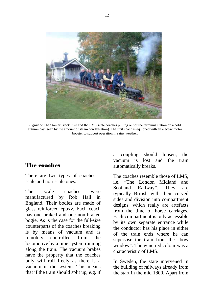

*Figure 5:* The Stanier Black Five and the LMS scale coaches pulling out of the terminus station on a cold autumn day (seen by the amount of steam condensation). The first coach is equipped with an electric motor booster to support operation in rainy weather.

# The coaches

There are two types of coaches – scale and non-scale ones.

The scale coaches were manufactured by Rob Hall in England. Their bodies are made of glass reinforced epoxy. Each coach has one braked and one non-braked bogie. As is the case for the full-size counterparts of the coaches breaking is by means of vacuum and is remotely controlled from the locomotive by a pipe system running along the train. The vacuum brakes have the property that the coaches only will roll freely as there is a vacuum in the system. This means that if the train should split up, e.g. if a coupling should loosen, the vacuum is lost and the train automatically breaks.

The coaches resemble those of LMS, i.e. "The London Midland and Scotland Railway". They are typically British with their curved sides and division into compartment designs, which really are artefacts from the time of horse carriages. Each compartment is only accessible by its own separate entrance while the conductor has his place in either of the train ends where he can supervise the train from the "bow window". The wine red colour was a characteristic of LMS.

In Sweden, the state intervened in the building of railways already from the start in the mid 1800. Apart from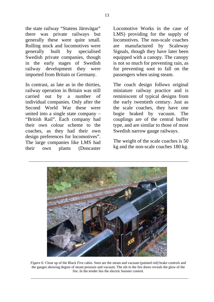the state railway "Statens Järnvägar" there was private railways but generally these were quite small. Rolling stock and locomotives were generally built by specialised Swedish private companies, though in the early stages of Swedish railway development they were imported from Britain or Germany.

In contrast, as late as in the thirties, railway operation in Britain was still carried out by a number of individual companies. Only after the Second World War these were united into a single state company – "British Rail". Each company had their own colour scheme to the coaches, as they had their own design preferences for locomotives". The large companies like LMS had their own plants (Doncaster

Locomotive Works in the case of LMS) providing for the supply of locomotives. The non-scale coaches are manufactured by Scaleway Signals, though they have later been equipped with a canopy. The canopy is not so much for preventing rain, as for preventing soot to fall on the passengers when using steam.

The coach design follows original miniature railway practice and is reminiscent of typical designs from the early twentieth century. Just as the scale coaches, they have one bogie braked by vacuum. The couplings are of the central buffer type, and are similar to those of most Swedish narrow gauge railways.

The weight of the scale coaches is 50 kg and the non-scale coaches 180 kg.



*Figure 6:* Close up of the Black Five cabin. Seen are the steam and vacuum (painted red) brake controls and the gauges showing degree of steam pressure and vacuum. The slit in the fire doors reveals the glow of the fire. In the tender lies the electric booster control.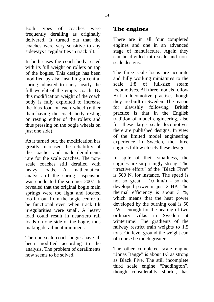Both types of coaches were frequently derailing as originally delivered. It turned out that the coaches were very sensitive to any sideways irregularities in track tilt.

In both cases the coach body rested with its full weight on rollers on top of the bogies. This design has been modified by also installing a central spring adjusted to carry nearly the full weight of the empty coach. By this modification weight of the coach body is fully exploited to increase the bias load on each wheel (rather than having the coach body resting on resting either of the rollers and thus pressing on the bogie wheels on just one side).

As it turned out, the modification has greatly increased the reliability of the coaches and made derailments rare for the scale coaches. The nonscale coaches still derailed with heavy loads. A mathematical analysis of the spring suspension was conducted the summer 2007. It revealed that the original bogie main springs were too light and located too far out from the bogie centre to be functional even when track tilt irregularities were small. A heavy load could result in near-zero rail loads on one side of the bogie, thus making derailment imminent.

The non-scale coach bogies have all been modified according to the analysis. The problem of derailments now seems to be solved.

# The engines

There are in all four completed engines and one in an advanced stage of manufacture. Again they can be divided into scale and nonscale designs.

The three scale locos are accurate and fully working miniatures to the scale 1:8 of full-size steam locomotives. All three models follow British locomotive practise, though they are built in Sweden. The reason for slavishly following British practice is that in the English tradition of model engineering, also for these large scale locomotives there are published designs. In view of the limited model engineering experience in Sweden, the three engines follow closely these designs.

In spite of their smallness, the engines are surprisingly strong. The "tractive effort" of the "Black Five" is 500 N. for instance. The speed is not so great – 10 km/h - so the developed power is just 2 HP. The thermal efficiency is about 3 %, which means that the heat power developed by the burning coal is 50 kW – enough for the heating of two ordinary villas in Sweden at wintertime! The gradients of the railway restrict train weights to 1.5 tons. On level ground the weight can of course be much greater.

The other completed scale engine "Jonas Bagge" is about 1/3 as strong as Black Five. The still incomplete third scale engine "Paddington", though considerably shorter, has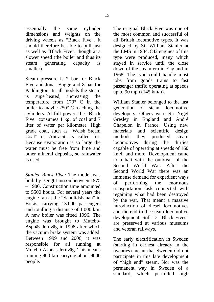essentially the same cylinder dimensions and weights on the driving wheels as "Black Five". It should therefore be able to pull just as well as "Black Five", though at a slower speed (the boiler and thus its steam generating capacity is smaller).

Steam pressure is 7 bar for Black Five and Jonas Bagge and 8 bar for Paddington. In all models the steam is superheated, increasing the temperature from 170° C in the boiler to maybe 250° C reaching the cylinders. At full power, the "Black Five" consumes 1 kg. of coal and 7 liter of water per kilometer. High grade coal, such as "Welsh Steam Coal" or Antracit, is called for. Because evaporation is so large the water must be free from lime and other mineral deposits, so rainwater is used.

*Stanier Black Five:* The model was built by Bengt Jansson between 1975 – 1980. Construction time amounted to 5500 hours. For several years the engine ran at the "Sandlidsbanan" in Borås, carrying 13 000 passengers and totalling a distance of 1 000 km. A new boiler was fitted 1996. The engine was brought to Mutebo-Aspnäs Jernväg in 1998 after which the vacuum brake system was added. Between 1999 and 2006, it was responsible for all running at Mutebo-Aspnäs Jernväg. This means running 900 km carrying about 9000 people.

The original Black Five was one of the most common and successful of all British locomotive types. It was designed by Sir William Stanier at the LMS in 1934. 842 engines of this type were produced, many which stayed in service until the close down of the steam era in England in 1968. The type could handle most jobs from goods trains to fast passenger traffic operating at speeds up to 90 mph (145 km/h).

William Stanier belonged to the last generation of steam locomotive developers. Others were Sir Nigel Gresley in England and André Chapelon in France. Using new materials and scientific design methods they produced steam locomotives during the thirties capable of operating at speeds of 160 km/h and more. Development came to a halt with the outbreak of the Second World War. After the Second World War there was an immense demand for expedient ways of performing the enormous transportation task connected with regaining what had been destroyed by the war. That meant a massive introduction of diesel locomotives and the end to the steam locomotive development. Still 12 "Black Fives" are preserved at various museums and veteran railways.

The early electrification in Sweden (starting in earnest already in the twenties) meant that Sweden did not participate in this late development of "high end" steam. Nor was the permanent way in Sweden of a standard, which permitted high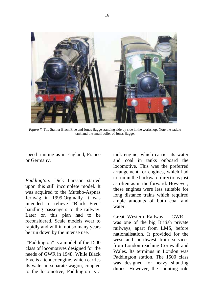

*Figure 7:* The Stanier Black Five and Jonas Bagge standing side by side in the workshop. Note the saddle tank and the small boiler of Jonas Bagge.

speed running as in England, France or Germany.

*Paddington:* Dick Larsson started upon this still incomplete model. It was acquired to the Mutebo-Aspnäs Jernväg in 1999.Orginally it was intended to relieve "Black Five" handling passengers to the railway. Later on this plan had to be reconsidered. Scale models wear to rapidly and will in not so many years be run down by the intense use.

 "Paddington" is a model of the 1500 class of locomotives designed for the needs of GWR in 1948. While Black Five is a tender engine, which carries its water in separate wagon, coupled to the locomotive, Paddington is a

tank engine, which carries its water and coal in tanks onboard the locomotive. This was the preferred arrangement for engines, which had to run in the backward directions just as often as in the forward. However, these engines were less suitable for long distance trains which required ample amounts of both coal and water.

Great Western Railway – GWR – was one of the big British private railways, apart from LMS, before nationalisation. It provided for the west and northwest train services from London reaching Cornwall and Wales. Its terminus in London was Paddington station. The 1500 class was designed for heavy shunting duties. However, the shunting role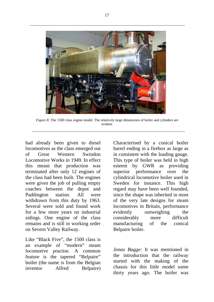

*Figure 8:* The 1500 class engine model. The relatively large dimensions of boiler and cylinders are evident.

had already been given to diesel locomotives as the class emerged out of Great Western Swindon Locomotive Works in 1949. In effect this meant that production was terminated after only 12 engines of the class had been built. The engines were given the job of pulling empty coaches between the depot and Paddington station. All were withdrawn from this duty by 1963. Several were sold and found work for a few more years on industrial sidings. One engine of the class remains and is still in working order on Severn Valley Railway.

Like "Black Five", the 1500 class is an example of "modern" steam locomotive practise. A common feature is the tapered "Belpaire" boiler (the name is from the Belgian inventor Alfred Belpaire) Characterised by a conical boiler barrel ending in a firebox as large as in consistent with the loading gauge. This type of boiler was held in high esteem by GWR as providing superior performance over the cylindrical locomotive boiler used in Sweden for instance. This high regard may have been well founded, since the shape was inherited in most of the very late designs for steam locomotives in Britain, performance evidently outweighing the considerably more difficult manufacturing of the conical Belpaire boiler.

*Jonas Bagge:* It was mentioned in the introduction that the railway started with the making of the chassis for this little model some thirty years ago. The boiler was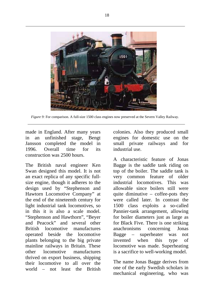

*Figure 9:* For comparison. A full-size 1500 class engines now preserved at the Severn Valley Railway.

made in England. After many years in an unfinished stage, Bengt Jansson completed the model in 1996. Overall time for its construction was 2500 hours.

The British naval engineer Ken Swan designed this model. It is not an exact replica of any specific fullsize engine, though it adheres to the design used by "Stephenson and Hawtorn Locomotive Company" at the end of the nineteenth century for light industrial tank locomotives, so in this it is also a scale model. "Stephenson and Hawthorn", "Beyer and Peacock" and several other British locomotive manufactures operated beside the locomotive plants belonging to the big private mainline railways in Britain. These other locomotive manufactures thrived on export business, shipping their locomotive to all over the world – not least the British colonies. Also they produced small engines for domestic use on the small private railways and for industrial use.

A characteristic feature of Jonas Bagge is the saddle tank riding on top of the boiler. The saddle tank is very common feature of older industrial locomotives. This was allowable since boilers still were quite diminutive  $-$  coffee-pots they were called later. In contrast the 1500 class exploits a so-called Pannier-tank arrangement, allowing for boiler diameters just as large as for Black Five. There is one striking anachronisms concerning Jonas Bagge – superheater was not invented when this type of locomotive was made. Superheating is a sacrifice to well-working model.

The name Jonas Bagge derives from one of the early Swedish scholars in mechanical engineering, who was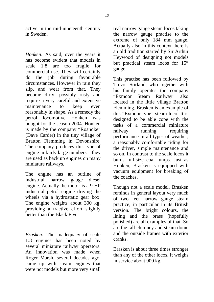active in the mid-nineteenth century in Sweden.

*Honken:* As said, over the years it has become evident that models in scale 1:8 are too fragile for commercial use. They will certainly do the job during favourable circumstances. However in rain they slip, and wear from that. They become dirty, possibly rusty and require a very careful and extensive maintenance to keep even reasonably in shape. As a remedy the petrol locomotive Honken was bought for the season 2004. Honken is made by the company "Roanoke" (Dave Carder) in the tiny village of Bratton Flemming in Devonshire. The company produces this type of engine in fairly large numbers – they are used as back up engines on many miniature railways.

The engine has an outline of industrial narrow gauge diesel engine. Actually the motor is a 9 HP industrial petrol engine driving the wheels via a hydrostatic gear box. The engine weights about 300 kg, providing a tractive effort slightly better than the Black Five.

*Brasken:* The inadequacy of scale 1:8 engines has been noted by several miniature railway operators. An innovation was made when Roger Marsh, several decades ago, came up with steam engines that were not models but more very small real narrow gauge steam locos taking the narrow gauge practise to the extreme of only 184 mm gauge. Actually also in this context there is an old tradition started by Sir Arthur Heywood of designing not models but practical steam locos for 15" gauge.

This practise has been followed by Trevor Stirland, who together with his family operates the company "Exmoor Steam Railway" also located in the little village Bratton Flemming. Brasken is an example of this "Exmoor type" steam loco. It is designed to be able cope with the tasks of a commercial miniature railway running, requiring performance in all types of weather, a reasonably comfortable riding for the driver, simple maintenance and so on. In contrast to the scale locos it burns full-size coal lumps. Just as Honken, Brasken is equipped with vacuum equipment for breaking of the coaches.

Though not a scale model, Brasken reminds in general layout very much of two feet narrow gauge steam practice, in particular in its British version. The bright colours, the lining and the brass (hopefully polished) are all examples of that. So are the tall chimney and steam dome and the outside frames with exterior cranks.

Brasken is about three times stronger than any of the other locos. It weighs in service about 900 kg.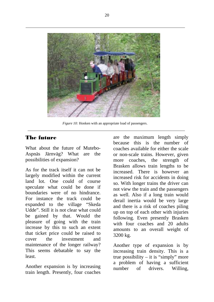

*Figure 10:* Honken with an appropriate load of passengers.

#### The future

What about the future of Mutebo-Aspnäs Järnväg? What are the possibilities of expansion?

As for the track itself it can not be largely modified within the current land lot. One could of course speculate what could be done if boundaries were of no hindrance. For instance the track could be expanded to the village "Skeda Udde". Still it is not clear what could be gained by that. Would the pleasure of going with the train increase by this to such an extent that ticket price could be raised to cover the investment and maintenance of the longer railway? This seems debatable to say the least.

Another expansion is by increasing train length. Presently, four coaches are the maximum length simply because this is the number of coaches available for either the scale or non-scale trains. However, given more coaches, the strength of Brasken allows train lengths to be increased. There is however an increased risk for accidents in doing so. With longer trains the driver can not view the train and the passengers as well. Also if a long train would derail inertia would be very large and there is a risk of coaches piling up on top of each other with injuries following. Even presently Brasken with four coaches and 20 adults amounts to an overall weight of 3200 kg.

Another type of expansion is by increasing train density. This is a true possibility – it is "simply" more a problem of having a sufficient number of drivers. Willing,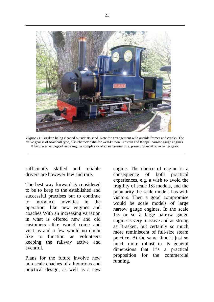

*Figure 11:* Brasken being cleaned outside its shed. Note the arrangement with outside frames and cranks. The valve gear is of Marshall type, also characteristic for well-known Ornstein and Koppel narrow gauge engines. It has the advantage of avoiding the complexity of an expansion link, present in most other valve gears.

sufficiently skilled and reliable drivers are however few and rare.

The best way forward is considered to be to keep to the established and successful practises but to continue to introduce novelties in the operation, like new engines and coaches With an increasing variation in what is offered new and old customers alike would come and visit us and a few would no doubt like to function as volunteers keeping the railway active and eventful.

Plans for the future involve new non-scale coaches of a luxurious and practical design, as well as a new

engine. The choice of engine is a consequence of both practical experiences, e.g. a wish to avoid the fragility of scale 1:8 models, and the popularity the scale models has with visitors. Then a good compromise would be scale models of large narrow gauge engines. In the scale 1:5 or so a large narrow gauge engine is very massive and as strong as Brasken, but certainly so much more reminiscent of full-size steam practice. At the same time it just so much more robust in its general dimensions that it's a practical proposition for the commercial running.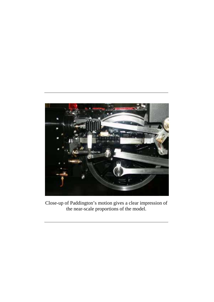

Close-up of Paddington's motion gives a clear impression of the near-scale proportions of the model.